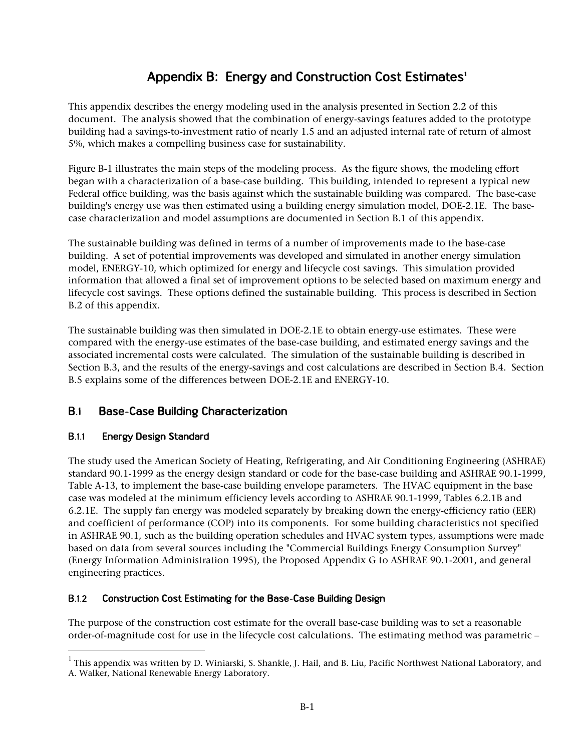# **Appendix B: Energy and Construction Cost Estimates<sup>1</sup>**

This appendix describes the energy modeling used in the analysis presented in Section 2.2 of this document. The analysis showed that the combination of energy-savings features added to the prototype building had a savings-to-investment ratio of nearly 1.5 and an adjusted internal rate of return of almost 5%, which makes a compelling business case for sustainability.

Figure B-1 illustrates the main steps of the modeling process. As the figure shows, the modeling effort began with a characterization of a base-case building. This building, intended to represent a typical new Federal office building, was the basis against which the sustainable building was compared. The base-case building's energy use was then estimated using a building energy simulation model, DOE-2.1E. The basecase characterization and model assumptions are documented in Section B.1 of this appendix.

The sustainable building was defined in terms of a number of improvements made to the base-case building. A set of potential improvements was developed and simulated in another energy simulation model, ENERGY-10, which optimized for energy and lifecycle cost savings. This simulation provided information that allowed a final set of improvement options to be selected based on maximum energy and lifecycle cost savings. These options defined the sustainable building. This process is described in Section B.2 of this appendix.

The sustainable building was then simulated in DOE-2.1E to obtain energy-use estimates. These were compared with the energy-use estimates of the base-case building, and estimated energy savings and the associated incremental costs were calculated. The simulation of the sustainable building is described in Section B.3, and the results of the energy-savings and cost calculations are described in Section B.4. Section B.5 explains some of the differences between DOE-2.1E and ENERGY-10.

### $B.1$ **Base-Case Building Characterization**

#### **B.1.1 Energy Design Standard**

The study used the American Society of Heating, Refrigerating, and Air Conditioning Engineering (ASHRAE) standard 90.1-1999 as the energy design standard or code for the base-case building and ASHRAE 90.1-1999, Table A-13, to implement the base-case building envelope parameters. The HVAC equipment in the base case was modeled at the minimum efficiency levels according to ASHRAE 90.1-1999, Tables 6.2.1B and 6.2.1E. The supply fan energy was modeled separately by breaking down the energy-efficiency ratio (EER) and coefficient of performance (COP) into its components. For some building characteristics not specified in ASHRAE 90.1, such as the building operation schedules and HVAC system types, assumptions were made based on data from several sources including the "Commercial Buildings Energy Consumption Survey" (Energy Information Administration 1995), the Proposed Appendix G to ASHRAE 90.1-2001, and general engineering practices.

#### $B.1.2$ **Construction Cost Estimating for the Base-Case Building Design**

The purpose of the construction cost estimate for the overall base-case building was to set a reasonable order-of-magnitude cost for use in the lifecycle cost calculations. The estimating method was parametric –

 $^{\rm 1}$  This appendix was written by D. Winiarski, S. Shankle, J. Hail, and B. Liu, Pacific Northwest National Laboratory, and A. Walker, National Renewable Energy Laboratory.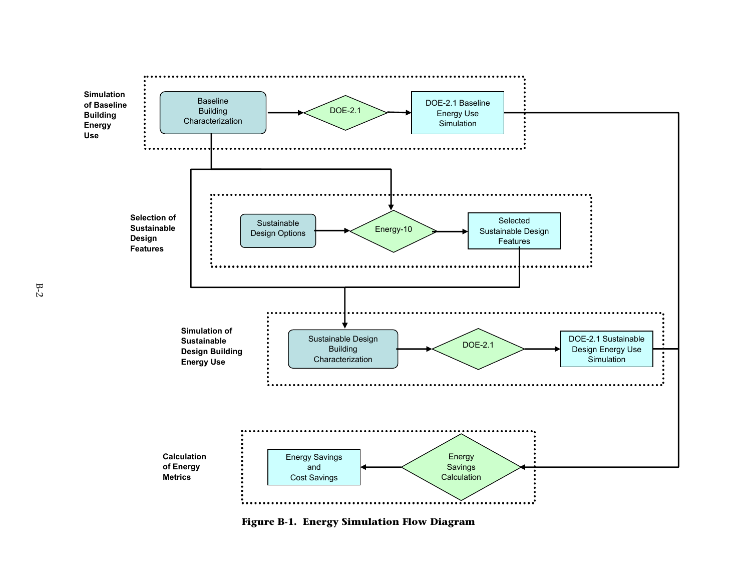

**Figure B-1. Energy Simulation Flow Diagram**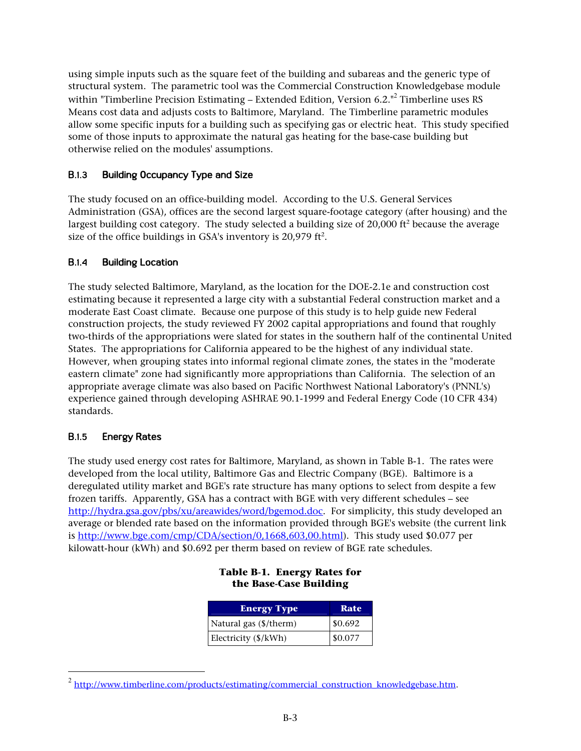using simple inputs such as the square feet of the building and subareas and the generic type of structural system. The parametric tool was the Commercial Construction Knowledgebase module within "Timberline Precision Estimating – Extended Edition, Version 6.2."<sup>2</sup> Timberline uses RS Means cost data and adjusts costs to Baltimore, Maryland. The Timberline parametric modules allow some specific inputs for a building such as specifying gas or electric heat. This study specified some of those inputs to approximate the natural gas heating for the base-case building but otherwise relied on the modules' assumptions.

#### $B.1.3$ **Building Occupancy Type and Size**

The study focused on an office-building model. According to the U.S. General Services Administration (GSA), offices are the second largest square-footage category (after housing) and the largest building cost category. The study selected a building size of 20,000 ft<sup>2</sup> because the average size of the office buildings in GSA's inventory is 20,979 ft<sup>2</sup>.

#### $B.1.4$ **Building Location**

The study selected Baltimore, Maryland, as the location for the DOE-2.1e and construction cost estimating because it represented a large city with a substantial Federal construction market and a moderate East Coast climate. Because one purpose of this study is to help guide new Federal construction projects, the study reviewed FY 2002 capital appropriations and found that roughly two-thirds of the appropriations were slated for states in the southern half of the continental United States. The appropriations for California appeared to be the highest of any individual state. However, when grouping states into informal regional climate zones, the states in the "moderate eastern climate" zone had significantly more appropriations than California. The selection of an appropriate average climate was also based on Pacific Northwest National Laboratory's (PNNL's) experience gained through developing ASHRAE 90.1-1999 and Federal Energy Code (10 CFR 434) standards.

#### $B.1.5$ **Energy Rates**

The study used energy cost rates for Baltimore, Maryland, as shown in Table B-1. The rates were developed from the local utility, Baltimore Gas and Electric Company (BGE). Baltimore is a deregulated utility market and BGE's rate structure has many options to select from despite a few frozen tariffs. Apparently, GSA has a contract with BGE with very different schedules – see [http://hydra.gsa.gov/pbs/xu/areawides/word/bgemod.doc.](http://hydra.gsa.gov/pbs/xu/areawides/word/bgemod.doc) For simplicity, this study developed an average or blended rate based on the information provided through BGE's website (the current link is [http://www.bge.com/cmp/CDA/section/0,1668,603,00.htm](http://www.bge.com/cmp/CDA/section/0,1668,603,00.html)l). This study used \$0.077 per kilowatt-hour (kWh) and \$0.692 per therm based on review of BGE rate schedules.

| <b>Energy Type</b>     | Rate    |
|------------------------|---------|
| Natural gas (\$/therm) | \$0.692 |
| Electricity (\$/kWh)   | \$0.077 |

### **Table B-1. Energy Rates for the Base-Case Building**

<sup>&</sup>lt;sup>2</sup> [http://www.timberline.com/products/estimating/commercial\\_construction\\_knowledgebase.htm.](http://www.timberline.com/products/estimating/commercial_construction_knowledgebase.htm)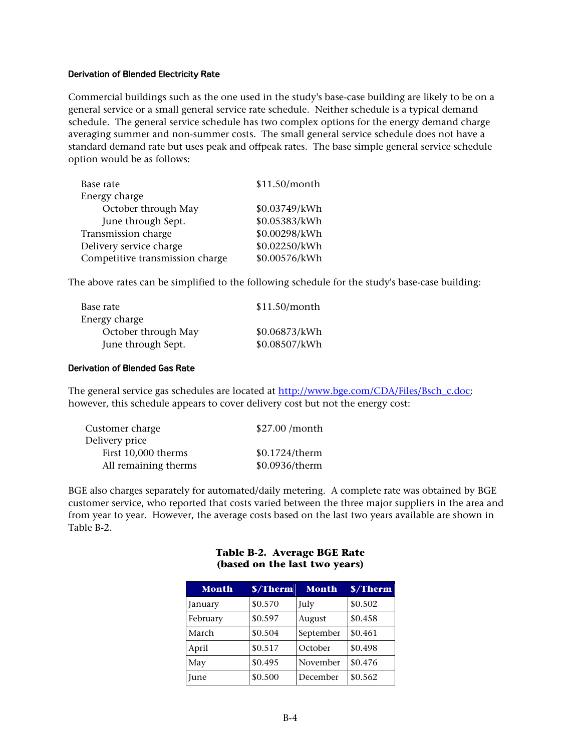### **Derivation of Blended Electricity Rate**

Commercial buildings such as the one used in the study's base-case building are likely to be on a general service or a small general service rate schedule. Neither schedule is a typical demand schedule. The general service schedule has two complex options for the energy demand charge averaging summer and non-summer costs. The small general service schedule does not have a standard demand rate but uses peak and offpeak rates. The base simple general service schedule option would be as follows:

| Base rate                       | \$11.50/month |
|---------------------------------|---------------|
| Energy charge                   |               |
| October through May             | \$0.03749/kWh |
| June through Sept.              | \$0.05383/kWh |
| Transmission charge             | \$0.00298/kWh |
| Delivery service charge         | \$0.02250/kWh |
| Competitive transmission charge | \$0.00576/kWh |

The above rates can be simplified to the following schedule for the study's base-case building:

| Base rate           | \$11.50/month |
|---------------------|---------------|
| Energy charge       |               |
| October through May | \$0.06873/kWh |
| June through Sept.  | \$0.08507/kWh |

### **Derivation of Blended Gas Rate**

The general service gas schedules are located at [http://www.bge.com/CDA/Files/Bsch\\_c.doc;](http://www.bge.com/CDA/Files/Bsch_c.doc) however, this schedule appears to cover delivery cost but not the energy cost:

| Customer charge      | \$27.00 /month |
|----------------------|----------------|
| Delivery price       |                |
| First 10,000 therms  | \$0.1724/therm |
| All remaining therms | \$0.0936/therm |

BGE also charges separately for automated/daily metering. A complete rate was obtained by BGE customer service, who reported that costs varied between the three major suppliers in the area and from year to year. However, the average costs based on the last two years available are shown in Table B-2.

| <b>Month</b> | \$/Therm | <b>Month</b> | \$/Therm |
|--------------|----------|--------------|----------|
| January      | \$0.570  | July         | \$0.502  |
| February     | \$0.597  | August       | \$0.458  |
| March        | \$0.504  | September    | \$0.461  |
| April        | \$0.517  | October      | \$0.498  |
| May          | \$0.495  | November     | \$0.476  |
| June         | \$0.500  | December     | \$0.562  |

### **Table B-2. Average BGE Rate (based on the last two years)**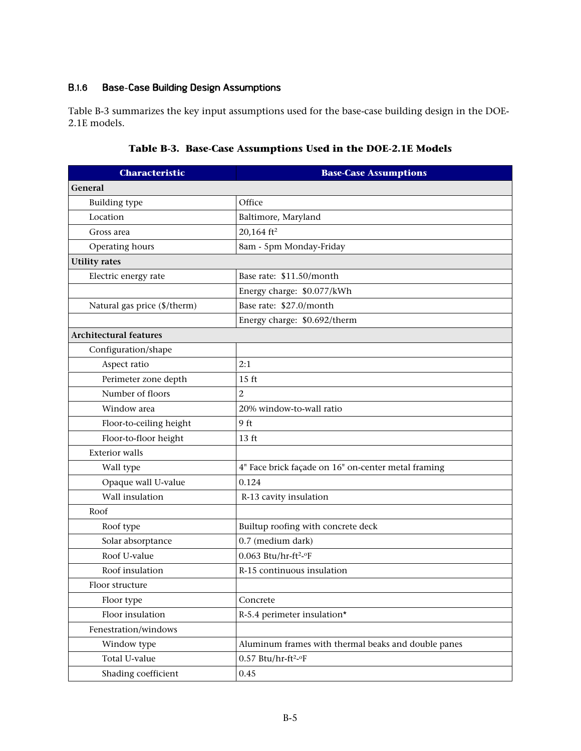#### **Base-Case Building Design Assumptions B.1.6**

Table B-3 summarizes the key input assumptions used for the base-case building design in the DOE-2.1E models.

| <b>Characteristic</b>         | <b>Base-Case Assumptions</b>                        |  |
|-------------------------------|-----------------------------------------------------|--|
| General                       |                                                     |  |
| <b>Building type</b>          | Office                                              |  |
| Location                      | Baltimore, Maryland                                 |  |
| Gross area                    | 20,164 $ft^2$                                       |  |
| Operating hours               | 8am - 5pm Monday-Friday                             |  |
| <b>Utility rates</b>          |                                                     |  |
| Electric energy rate          | Base rate: \$11.50/month                            |  |
|                               | Energy charge: \$0.077/kWh                          |  |
| Natural gas price (\$/therm)  | Base rate: \$27.0/month                             |  |
|                               | Energy charge: \$0.692/therm                        |  |
| <b>Architectural features</b> |                                                     |  |
| Configuration/shape           |                                                     |  |
| Aspect ratio                  | 2:1                                                 |  |
| Perimeter zone depth          | 15 ft                                               |  |
| Number of floors              | $\overline{c}$                                      |  |
| Window area                   | 20% window-to-wall ratio                            |  |
| Floor-to-ceiling height       | 9 ft                                                |  |
| Floor-to-floor height         | 13 ft                                               |  |
| <b>Exterior</b> walls         |                                                     |  |
| Wall type                     | 4" Face brick façade on 16" on-center metal framing |  |
| Opaque wall U-value           | 0.124                                               |  |
| Wall insulation               | R-13 cavity insulation                              |  |
| Roof                          |                                                     |  |
| Roof type                     | Builtup roofing with concrete deck                  |  |
| Solar absorptance             | 0.7 (medium dark)                                   |  |
| Roof U-value                  | $0.063$ Btu/hr-ft <sup>2</sup> -°F                  |  |
| Roof insulation               | R-15 continuous insulation                          |  |
| Floor structure               |                                                     |  |
| Floor type                    | Concrete                                            |  |
| Floor insulation              | R-5.4 perimeter insulation*                         |  |
| Fenestration/windows          |                                                     |  |
| Window type                   | Aluminum frames with thermal beaks and double panes |  |
| Total U-value                 | $0.57$ Btu/hr-ft <sup>2</sup> -°F                   |  |
| Shading coefficient           | 0.45                                                |  |

# **Table B-3. Base-Case Assumptions Used in the DOE-2.1E Models**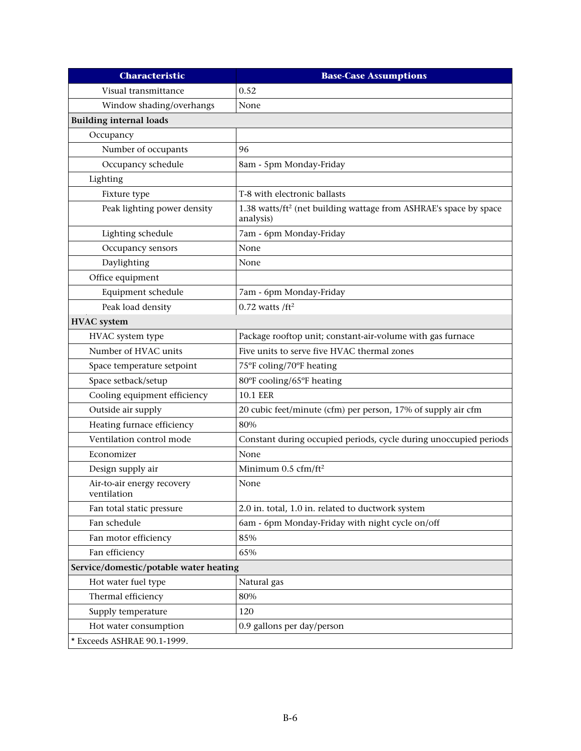| <b>Characteristic</b>                     | <b>Base-Case Assumptions</b>                                                               |  |  |
|-------------------------------------------|--------------------------------------------------------------------------------------------|--|--|
| Visual transmittance                      | 0.52                                                                                       |  |  |
| Window shading/overhangs                  | None                                                                                       |  |  |
| <b>Building internal loads</b>            |                                                                                            |  |  |
| Occupancy                                 |                                                                                            |  |  |
| Number of occupants                       | 96                                                                                         |  |  |
| Occupancy schedule                        | 8am - 5pm Monday-Friday                                                                    |  |  |
| Lighting                                  |                                                                                            |  |  |
| Fixture type                              | T-8 with electronic ballasts                                                               |  |  |
| Peak lighting power density               | 1.38 watts/ft <sup>2</sup> (net building wattage from ASHRAE's space by space<br>analysis) |  |  |
| Lighting schedule                         | 7am - 6pm Monday-Friday                                                                    |  |  |
| Occupancy sensors                         | None                                                                                       |  |  |
| Daylighting                               | None                                                                                       |  |  |
| Office equipment                          |                                                                                            |  |  |
| Equipment schedule                        | 7am - 6pm Monday-Friday                                                                    |  |  |
| Peak load density                         | $0.72$ watts /ft <sup>2</sup>                                                              |  |  |
| <b>HVAC</b> system                        |                                                                                            |  |  |
| HVAC system type                          | Package rooftop unit; constant-air-volume with gas furnace                                 |  |  |
| Number of HVAC units                      | Five units to serve five HVAC thermal zones                                                |  |  |
| Space temperature setpoint                | 75°F coling/70°F heating                                                                   |  |  |
| Space setback/setup                       | 80°F cooling/65°F heating                                                                  |  |  |
| Cooling equipment efficiency              | <b>10.1 EER</b>                                                                            |  |  |
| Outside air supply                        | 20 cubic feet/minute (cfm) per person, 17% of supply air cfm                               |  |  |
| Heating furnace efficiency                | 80%                                                                                        |  |  |
| Ventilation control mode                  | Constant during occupied periods, cycle during unoccupied periods                          |  |  |
| Economizer                                | None                                                                                       |  |  |
| Design supply air                         | Minimum 0.5 cfm/ft <sup>2</sup>                                                            |  |  |
| Air-to-air energy recovery<br>ventilation | None                                                                                       |  |  |
| Fan total static pressure                 | 2.0 in. total, 1.0 in. related to ductwork system                                          |  |  |
| Fan schedule                              | 6am - 6pm Monday-Friday with night cycle on/off                                            |  |  |
| Fan motor efficiency                      | 85%                                                                                        |  |  |
| Fan efficiency                            | 65%                                                                                        |  |  |
| Service/domestic/potable water heating    |                                                                                            |  |  |
| Hot water fuel type                       | Natural gas                                                                                |  |  |
| Thermal efficiency                        | 80%                                                                                        |  |  |
| Supply temperature                        | 120                                                                                        |  |  |
| Hot water consumption                     | 0.9 gallons per day/person                                                                 |  |  |
| * Exceeds ASHRAE 90.1-1999.               |                                                                                            |  |  |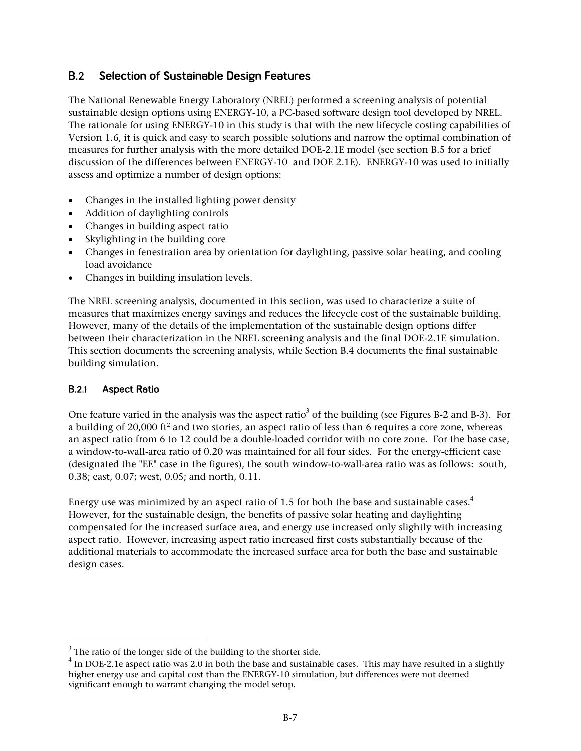#### $B<sub>2</sub>$ **Selection of Sustainable Design Features**

The National Renewable Energy Laboratory (NREL) performed a screening analysis of potential sustainable design options using ENERGY-10, a PC-based software design tool developed by NREL. The rationale for using ENERGY-10 in this study is that with the new lifecycle costing capabilities of Version 1.6, it is quick and easy to search possible solutions and narrow the optimal combination of measures for further analysis with the more detailed DOE-2.1E model (see section B.5 for a brief discussion of the differences between ENERGY-10 and DOE 2.1E). ENERGY-10 was used to initially assess and optimize a number of design options:

- Changes in the installed lighting power density
- Addition of daylighting controls
- Changes in building aspect ratio
- Skylighting in the building core
- Changes in fenestration area by orientation for daylighting, passive solar heating, and cooling load avoidance
- Changes in building insulation levels.

The NREL screening analysis, documented in this section, was used to characterize a suite of measures that maximizes energy savings and reduces the lifecycle cost of the sustainable building. However, many of the details of the implementation of the sustainable design options differ between their characterization in the NREL screening analysis and the final DOE-2.1E simulation. This section documents the screening analysis, while Section B.4 documents the final sustainable building simulation.

#### $B.2.1$ **Aspect Ratio**

One feature varied in the analysis was the aspect ratio<sup>3</sup> of the building (see Figures B-2 and B-3). For a building of 20,000 ft<sup>2</sup> and two stories, an aspect ratio of less than 6 requires a core zone, whereas an aspect ratio from 6 to 12 could be a double-loaded corridor with no core zone. For the base case, a window-to-wall-area ratio of 0.20 was maintained for all four sides. For the energy-efficient case (designated the "EE" case in the figures), the south window-to-wall-area ratio was as follows: south, 0.38; east, 0.07; west, 0.05; and north, 0.11.

Energy use was minimized by an aspect ratio of 1.5 for both the base and sustainable cases.<sup>4</sup> However, for the sustainable design, the benefits of passive solar heating and daylighting compensated for the increased surface area, and energy use increased only slightly with increasing aspect ratio. However, increasing aspect ratio increased first costs substantially because of the additional materials to accommodate the increased surface area for both the base and sustainable design cases.

<sup>&</sup>lt;sup>3</sup> The ratio of the longer side of the building to the shorter side.<br> $^{4}$  In DOE 3.10 separat ratio was 2.0 in hoth the base and sustained

<sup>&</sup>lt;sup>4</sup> In DOE-2.1e aspect ratio was 2.0 in both the base and sustainable cases. This may have resulted in a slightly higher energy use and capital cost than the ENERGY-10 simulation, but differences were not deemed significant enough to warrant changing the model setup.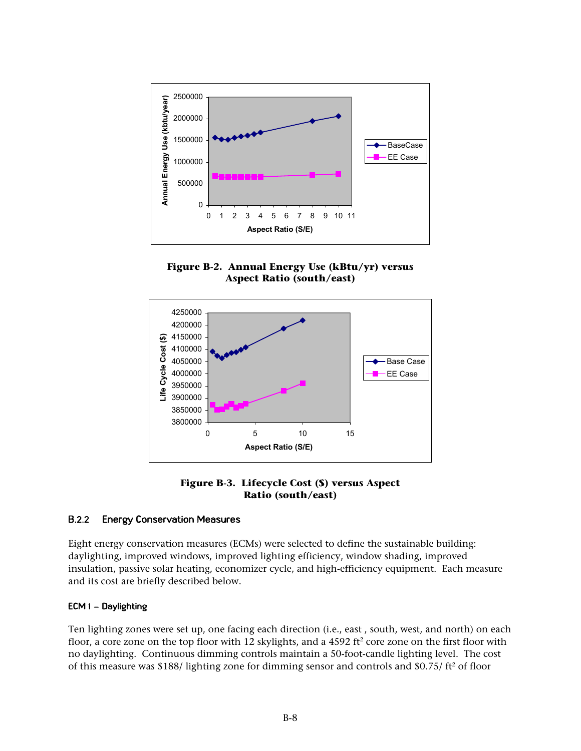

**Figure B-2. Annual Energy Use (kBtu/yr) versus Aspect Ratio (south/east)** 



**Figure B-3. Lifecycle Cost (\$) versus Aspect Ratio (south/east)** 

#### $B.2.2$ **Energy Conservation Measures**

Eight energy conservation measures (ECMs) were selected to define the sustainable building: daylighting, improved windows, improved lighting efficiency, window shading, improved insulation, passive solar heating, economizer cycle, and high-efficiency equipment. Each measure and its cost are briefly described below.

### **ECM 1 – Daylighting**

Ten lighting zones were set up, one facing each direction (i.e., east , south, west, and north) on each floor, a core zone on the top floor with 12 skylights, and a  $4592 \text{ ft}^2$  core zone on the first floor with no daylighting. Continuous dimming controls maintain a 50-foot-candle lighting level. The cost of this measure was \$188/ lighting zone for dimming sensor and controls and \$0.75/ $\text{ft}^2$  of floor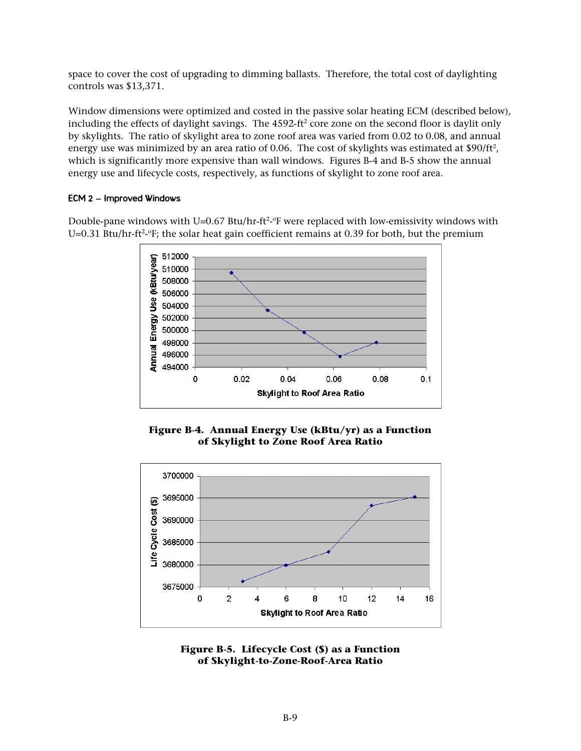space to cover the cost of upgrading to dimming ballasts. Therefore, the total cost of daylighting controls was \$13,371.

Window dimensions were optimized and costed in the passive solar heating ECM (described below), including the effects of daylight savings. The  $4592\text{-}ft^2$  core zone on the second floor is daylit only by skylights. The ratio of skylight area to zone roof area was varied from 0.02 to 0.08, and annual energy use was minimized by an area ratio of 0.06. The cost of skylights was estimated at  $$90/ft^2$ , which is significantly more expensive than wall windows. Figures B-4 and B-5 show the annual energy use and lifecycle costs, respectively, as functions of skylight to zone roof area.

### **ECM 2 – Improved Windows**

Double-pane windows with U=0.67 Btu/hr-ft<sup>2</sup>-°F were replaced with low-emissivity windows with U=0.31 Btu/hr-ft<sup>2</sup>- $\rm{F}$ ; the solar heat gain coefficient remains at 0.39 for both, but the premium



**Figure B-4. Annual Energy Use (kBtu/yr) as a Function of Skylight to Zone Roof Area Ratio** 



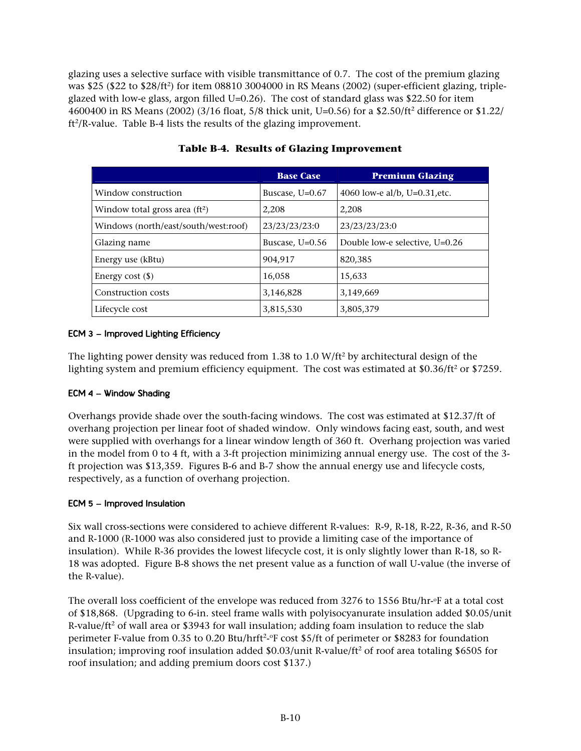glazing uses a selective surface with visible transmittance of 0.7. The cost of the premium glazing was \$25 (\$22 to \$28/ft2 ) for item 08810 3004000 in RS Means (2002) (super-efficient glazing, tripleglazed with low-e glass, argon filled U=0.26). The cost of standard glass was \$22.50 for item 4600400 in RS Means (2002) (3/16 float, 5/8 thick unit, U=0.56) for a \$2.50/ft<sup>2</sup> difference or \$1.22/  $ft^2/R$ -value. Table B-4 lists the results of the glazing improvement.

|                                      | <b>Base Case</b>  | <b>Premium Glazing</b>           |
|--------------------------------------|-------------------|----------------------------------|
| Window construction                  | Buscase, U=0.67   | 4060 low-e al/b, U=0.31, etc.    |
| Window total gross area $(ft2)$      | 2,208             | 2,208                            |
| Windows (north/east/south/west:roof) | 23/23/23/23:0     | 23/23/23/23:0                    |
| Glazing name                         | Buscase, $U=0.56$ | Double low-e selective, $U=0.26$ |
| Energy use (kBtu)                    | 904.917           | 820,385                          |
| Energy cost $(\$)$                   | 16,058            | 15,633                           |
| Construction costs                   | 3,146,828         | 3,149,669                        |
| Lifecycle cost                       | 3,815,530         | 3,805,379                        |

# **Table B-4. Results of Glazing Improvement**

# **ECM 3 – Improved Lighting Efficiency**

The lighting power density was reduced from 1.38 to 1.0 W/ft<sup>2</sup> by architectural design of the lighting system and premium efficiency equipment. The cost was estimated at  $$0.36/\text{ft}^2$  or  $$7259$ .

# **ECM 4 – Window Shading**

Overhangs provide shade over the south-facing windows. The cost was estimated at \$12.37/ft of overhang projection per linear foot of shaded window. Only windows facing east, south, and west were supplied with overhangs for a linear window length of 360 ft. Overhang projection was varied in the model from 0 to 4 ft, with a 3-ft projection minimizing annual energy use. The cost of the 3 ft projection was \$13,359. Figures B-6 and B-7 show the annual energy use and lifecycle costs, respectively, as a function of overhang projection.

# **ECM 5 – Improved Insulation**

Six wall cross-sections were considered to achieve different R-values: R-9, R-18, R-22, R-36, and R-50 and R-1000 (R-1000 was also considered just to provide a limiting case of the importance of insulation). While R-36 provides the lowest lifecycle cost, it is only slightly lower than R-18, so R-18 was adopted. Figure B-8 shows the net present value as a function of wall U-value (the inverse of the R-value).

The overall loss coefficient of the envelope was reduced from 3276 to 1556 Btu/hr-of at a total cost of \$18,868. (Upgrading to 6-in. steel frame walls with polyisocyanurate insulation added \$0.05/unit R-value/ft<sup>2</sup> of wall area or \$3943 for wall insulation; adding foam insulation to reduce the slab perimeter F-value from 0.35 to 0.20 Btu/hrft<sup>2</sup>- $\degree$ F cost \$5/ft of perimeter or \$8283 for foundation insulation; improving roof insulation added  $$0.03/unit R-value/ft<sup>2</sup> of roof area totaling  $$6505$  for$ roof insulation; and adding premium doors cost \$137.)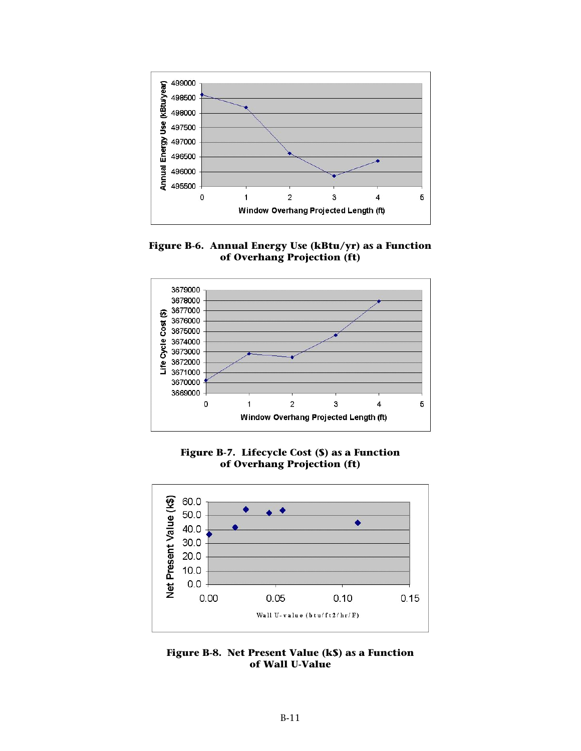

**Figure B-6. Annual Energy Use (kBtu/yr) as a Function of Overhang Projection (ft)** 



**Figure B-7. Lifecycle Cost (\$) as a Function of Overhang Projection (ft)** 



**Figure B-8. Net Present Value (k\$) as a Function of Wall U-Value**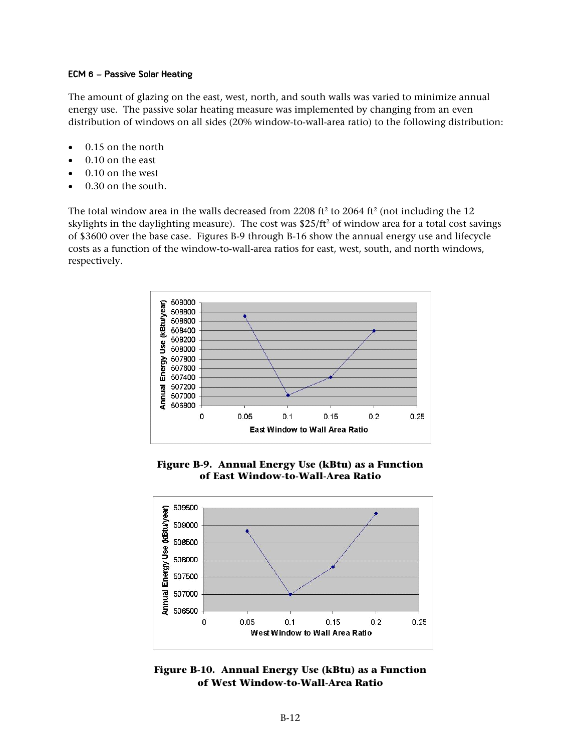### **ECM 6 – Passive Solar Heating**

The amount of glazing on the east, west, north, and south walls was varied to minimize annual energy use. The passive solar heating measure was implemented by changing from an even distribution of windows on all sides (20% window-to-wall-area ratio) to the following distribution:

- 0.15 on the north
- 0.10 on the east
- 0.10 on the west
- 0.30 on the south.

The total window area in the walls decreased from 2208 ft<sup>2</sup> to 2064 ft<sup>2</sup> (not including the 12 skylights in the daylighting measure). The cost was  $$25/ft^2$  of window area for a total cost savings of \$3600 over the base case. Figures B-9 through B-16 show the annual energy use and lifecycle costs as a function of the window-to-wall-area ratios for east, west, south, and north windows, respectively.



**Figure B-9. Annual Energy Use (kBtu) as a Function of East Window-to-Wall-Area Ratio** 



**Figure B-10. Annual Energy Use (kBtu) as a Function of West Window-to-Wall-Area Ratio**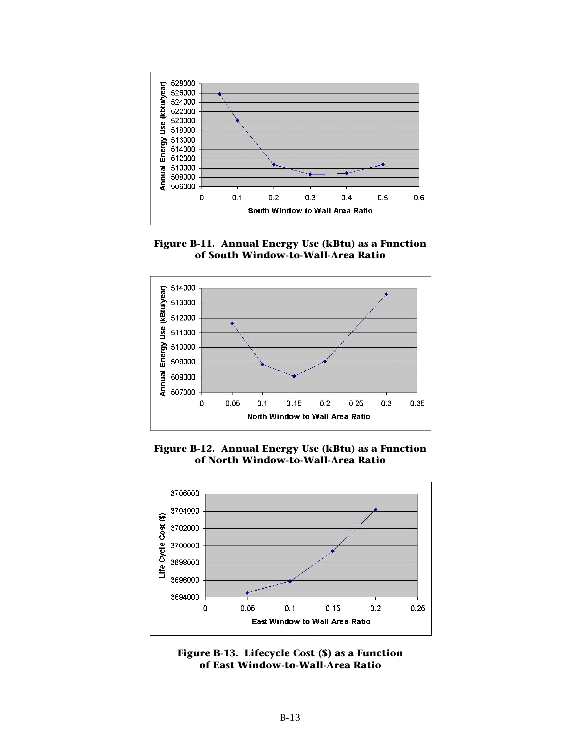

**Figure B-11. Annual Energy Use (kBtu) as a Function of South Window-to-Wall-Area Ratio** 



**Figure B-12. Annual Energy Use (kBtu) as a Function of North Window-to-Wall-Area Ratio** 

![](_page_12_Figure_4.jpeg)

![](_page_12_Figure_5.jpeg)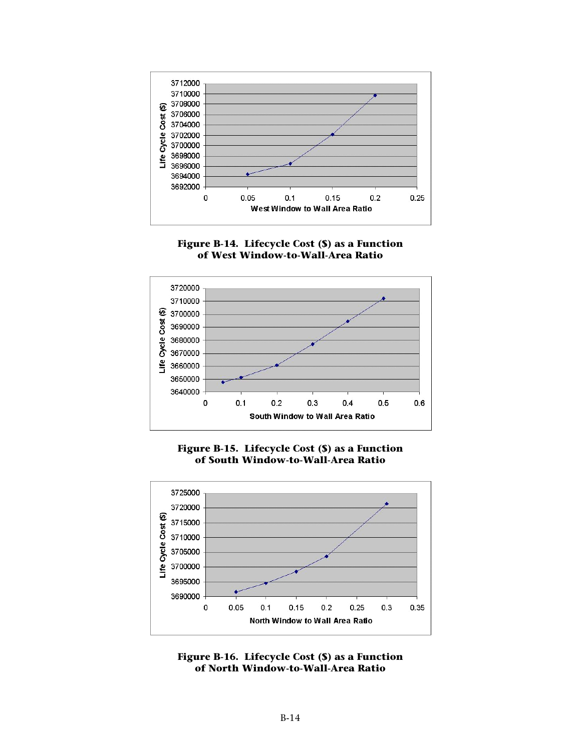![](_page_13_Figure_0.jpeg)

![](_page_13_Figure_1.jpeg)

![](_page_13_Figure_2.jpeg)

![](_page_13_Figure_3.jpeg)

![](_page_13_Figure_4.jpeg)

![](_page_13_Figure_5.jpeg)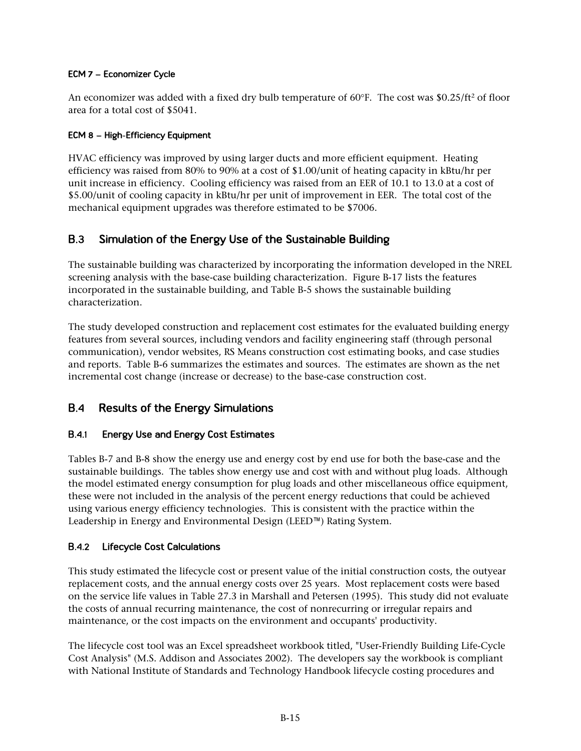# **ECM 7 – Economizer Cycle**

An economizer was added with a fixed dry bulb temperature of 60°F. The cost was \$0.25/ft<sup>2</sup> of floor area for a total cost of \$5041.

# **ECM 8 – High-Efficiency Equipment**

HVAC efficiency was improved by using larger ducts and more efficient equipment. Heating efficiency was raised from 80% to 90% at a cost of \$1.00/unit of heating capacity in kBtu/hr per unit increase in efficiency. Cooling efficiency was raised from an EER of 10.1 to 13.0 at a cost of \$5.00/unit of cooling capacity in kBtu/hr per unit of improvement in EER. The total cost of the mechanical equipment upgrades was therefore estimated to be \$7006.

### $B.3$ **Simulation of the Energy Use of the Sustainable Building**

The sustainable building was characterized by incorporating the information developed in the NREL screening analysis with the base-case building characterization. Figure B-17 lists the features incorporated in the sustainable building, and Table B-5 shows the sustainable building characterization.

The study developed construction and replacement cost estimates for the evaluated building energy features from several sources, including vendors and facility engineering staff (through personal communication), vendor websites, RS Means construction cost estimating books, and case studies and reports. Table B-6 summarizes the estimates and sources. The estimates are shown as the net incremental cost change (increase or decrease) to the base-case construction cost.

### $B.4$ **Results of the Energy Simulations**

#### $B.4.1$ **Energy Use and Energy Cost Estimates**

Tables B-7 and B-8 show the energy use and energy cost by end use for both the base-case and the sustainable buildings. The tables show energy use and cost with and without plug loads. Although the model estimated energy consumption for plug loads and other miscellaneous office equipment, these were not included in the analysis of the percent energy reductions that could be achieved using various energy efficiency technologies. This is consistent with the practice within the Leadership in Energy and Environmental Design (LEED™) Rating System.

#### $B.4.2$ **Lifecycle Cost Calculations**

This study estimated the lifecycle cost or present value of the initial construction costs, the outyear replacement costs, and the annual energy costs over 25 years. Most replacement costs were based on the service life values in Table 27.3 in Marshall and Petersen (1995). This study did not evaluate the costs of annual recurring maintenance, the cost of nonrecurring or irregular repairs and maintenance, or the cost impacts on the environment and occupants' productivity.

The lifecycle cost tool was an Excel spreadsheet workbook titled, "User-Friendly Building Life-Cycle Cost Analysis" (M.S. Addison and Associates 2002). The developers say the workbook is compliant with National Institute of Standards and Technology Handbook lifecycle costing procedures and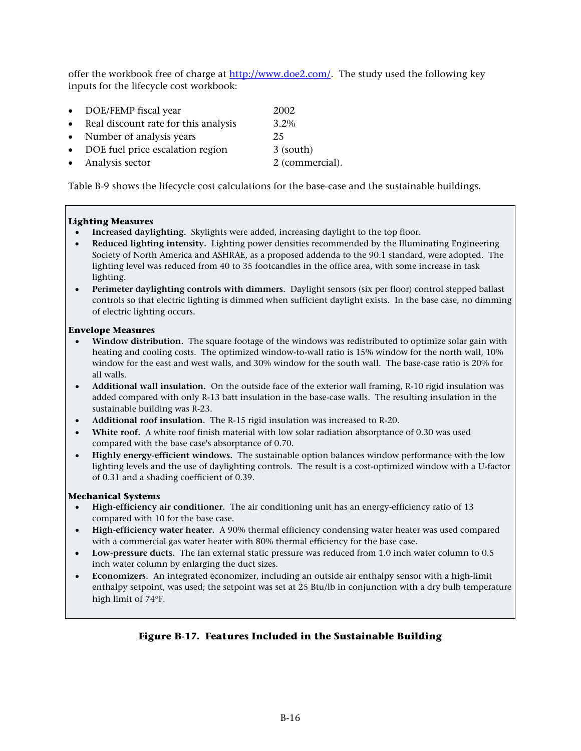offer the workbook free of charge at [http://www.doe2.com/.](http://www.doe2.com/) The study used the following key inputs for the lifecycle cost workbook:

| $\bullet$ | DOE/FEMP fiscal year                 | 2002 |
|-----------|--------------------------------------|------|
| $\bullet$ | Real discount rate for this analysis | 3.2% |
|           |                                      |      |

- Number of analysis years 25
- DOE fuel price escalation region 3 (south)
	- Analysis sector 2 (commercial).

Table B-9 shows the lifecycle cost calculations for the base-case and the sustainable buildings.

### **Lighting Measures**

- **Increased daylighting.** Skylights were added, increasing daylight to the top floor.
- **Reduced lighting intensity.** Lighting power densities recommended by the Illuminating Engineering Society of North America and ASHRAE, as a proposed addenda to the 90.1 standard, were adopted. The lighting level was reduced from 40 to 35 footcandles in the office area, with some increase in task lighting.
- **Perimeter daylighting controls with dimmers.** Daylight sensors (six per floor) control stepped ballast controls so that electric lighting is dimmed when sufficient daylight exists. In the base case, no dimming of electric lighting occurs.

### **Envelope Measures**

- **Window distribution.** The square footage of the windows was redistributed to optimize solar gain with heating and cooling costs. The optimized window-to-wall ratio is 15% window for the north wall, 10% window for the east and west walls, and 30% window for the south wall. The base-case ratio is 20% for all walls.
- **Additional wall insulation.** On the outside face of the exterior wall framing, R-10 rigid insulation was added compared with only R-13 batt insulation in the base-case walls. The resulting insulation in the sustainable building was R-23.
- **Additional roof insulation.** The R-15 rigid insulation was increased to R-20.
- **White roof.** A white roof finish material with low solar radiation absorptance of 0.30 was used compared with the base case's absorptance of 0.70.
- **Highly energy-efficient windows.** The sustainable option balances window performance with the low lighting levels and the use of daylighting controls. The result is a cost-optimized window with a U-factor of 0.31 and a shading coefficient of 0.39.

### **Mechanical Systems**

- **High-efficiency air conditioner.** The air conditioning unit has an energy-efficiency ratio of 13 compared with 10 for the base case.
- **High-efficiency water heater.** A 90% thermal efficiency condensing water heater was used compared with a commercial gas water heater with 80% thermal efficiency for the base case.
- **Low-pressure ducts.** The fan external static pressure was reduced from 1.0 inch water column to 0.5 inch water column by enlarging the duct sizes.
- **Economizers.** An integrated economizer, including an outside air enthalpy sensor with a high-limit enthalpy setpoint, was used; the setpoint was set at 25 Btu/lb in conjunction with a dry bulb temperature high limit of 74°F.

# **Figure B-17. Features Included in the Sustainable Building**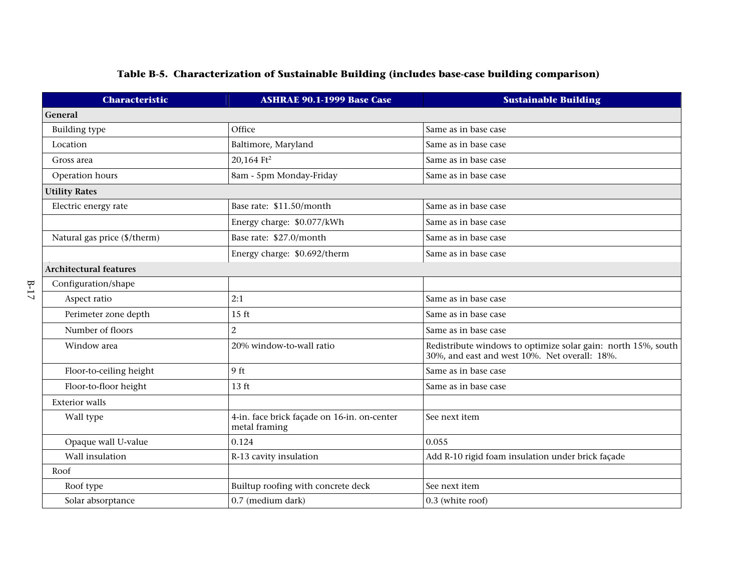# **Table B-5. Characterization of Sustainable Building (includes base-case building comparison)**

| <b>Characteristic</b>         | <b>ASHRAE 90.1-1999 Base Case</b>                            | <b>Sustainable Building</b>                                                                                    |  |
|-------------------------------|--------------------------------------------------------------|----------------------------------------------------------------------------------------------------------------|--|
| General                       |                                                              |                                                                                                                |  |
| <b>Building type</b>          | Office                                                       | Same as in base case                                                                                           |  |
| Location                      | Baltimore, Maryland                                          | Same as in base case                                                                                           |  |
| Gross area                    | 20,164 Ft <sup>2</sup>                                       | Same as in base case                                                                                           |  |
| Operation hours               | 8am - 5pm Monday-Friday                                      | Same as in base case                                                                                           |  |
| <b>Utility Rates</b>          |                                                              |                                                                                                                |  |
| Electric energy rate          | Base rate: \$11.50/month                                     | Same as in base case                                                                                           |  |
|                               | Energy charge: \$0.077/kWh                                   | Same as in base case                                                                                           |  |
| Natural gas price (\$/therm)  | Base rate: \$27.0/month                                      | Same as in base case                                                                                           |  |
|                               | Energy charge: \$0.692/therm                                 | Same as in base case                                                                                           |  |
| <b>Architectural features</b> |                                                              |                                                                                                                |  |
| Configuration/shape           |                                                              |                                                                                                                |  |
| Aspect ratio                  | 2:1                                                          | Same as in base case                                                                                           |  |
| Perimeter zone depth          | $15$ ft                                                      | Same as in base case                                                                                           |  |
| Number of floors              | $\overline{2}$                                               | Same as in base case                                                                                           |  |
| Window area                   | 20% window-to-wall ratio                                     | Redistribute windows to optimize solar gain: north 15%, south<br>30%, and east and west 10%. Net overall: 18%. |  |
| Floor-to-ceiling height       | 9 ft                                                         | Same as in base case                                                                                           |  |
| Floor-to-floor height         | 13 ft                                                        | Same as in base case                                                                                           |  |
| <b>Exterior walls</b>         |                                                              |                                                                                                                |  |
| Wall type                     | 4-in. face brick façade on 16-in. on-center<br>metal framing | See next item                                                                                                  |  |
| Opaque wall U-value           | 0.124                                                        | 0.055                                                                                                          |  |
| Wall insulation               | R-13 cavity insulation                                       | Add R-10 rigid foam insulation under brick façade                                                              |  |
| Roof                          |                                                              |                                                                                                                |  |
| Roof type                     | Builtup roofing with concrete deck                           | See next item                                                                                                  |  |
| Solar absorptance             | 0.7 (medium dark)                                            | 0.3 (white roof)                                                                                               |  |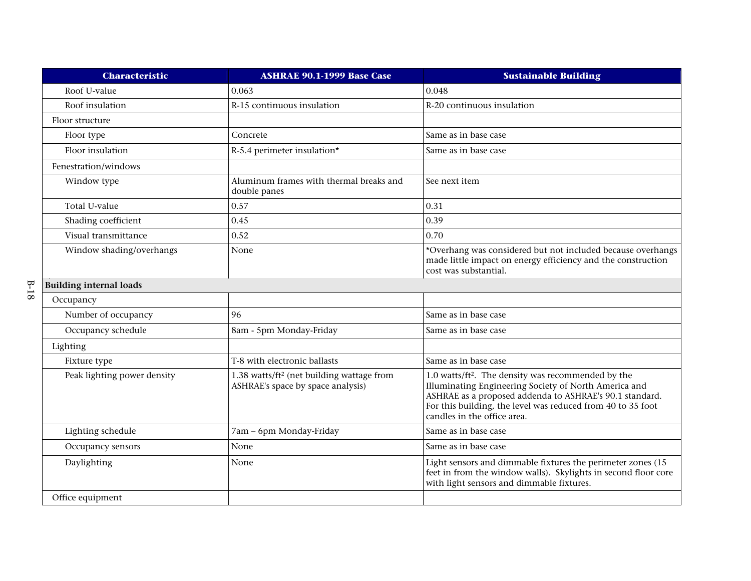|        | <b>Characteristic</b>          | <b>ASHRAE 90.1-1999 Base Case</b>                                                          | <b>Sustainable Building</b>                                                                                                                                                                                                                                                      |
|--------|--------------------------------|--------------------------------------------------------------------------------------------|----------------------------------------------------------------------------------------------------------------------------------------------------------------------------------------------------------------------------------------------------------------------------------|
|        | Roof U-value                   | 0.063                                                                                      | 0.048                                                                                                                                                                                                                                                                            |
|        | Roof insulation                | R-15 continuous insulation                                                                 | R-20 continuous insulation                                                                                                                                                                                                                                                       |
|        | Floor structure                |                                                                                            |                                                                                                                                                                                                                                                                                  |
|        | Floor type                     | Concrete                                                                                   | Same as in base case                                                                                                                                                                                                                                                             |
|        | Floor insulation               | R-5.4 perimeter insulation*                                                                | Same as in base case                                                                                                                                                                                                                                                             |
|        | Fenestration/windows           |                                                                                            |                                                                                                                                                                                                                                                                                  |
|        | Window type                    | Aluminum frames with thermal breaks and<br>double panes                                    | See next item                                                                                                                                                                                                                                                                    |
|        | Total U-value                  | 0.57                                                                                       | 0.31                                                                                                                                                                                                                                                                             |
|        | Shading coefficient            | 0.45                                                                                       | 0.39                                                                                                                                                                                                                                                                             |
|        | Visual transmittance           | 0.52                                                                                       | 0.70                                                                                                                                                                                                                                                                             |
|        | Window shading/overhangs       | None                                                                                       | *Overhang was considered but not included because overhangs<br>made little impact on energy efficiency and the construction<br>cost was substantial.                                                                                                                             |
| $B-18$ | <b>Building internal loads</b> |                                                                                            |                                                                                                                                                                                                                                                                                  |
|        | Occupancy                      |                                                                                            |                                                                                                                                                                                                                                                                                  |
|        | Number of occupancy            | 96                                                                                         | Same as in base case                                                                                                                                                                                                                                                             |
|        | Occupancy schedule             | 8am - 5pm Monday-Friday                                                                    | Same as in base case                                                                                                                                                                                                                                                             |
|        | Lighting                       |                                                                                            |                                                                                                                                                                                                                                                                                  |
|        | Fixture type                   | T-8 with electronic ballasts                                                               | Same as in base case                                                                                                                                                                                                                                                             |
|        | Peak lighting power density    | 1.38 watts/ft <sup>2</sup> (net building wattage from<br>ASHRAE's space by space analysis) | 1.0 watts/ft <sup>2</sup> . The density was recommended by the<br>Illuminating Engineering Society of North America and<br>ASHRAE as a proposed addenda to ASHRAE's 90.1 standard.<br>For this building, the level was reduced from 40 to 35 foot<br>candles in the office area. |
|        | Lighting schedule              | 7am - 6pm Monday-Friday                                                                    | Same as in base case                                                                                                                                                                                                                                                             |
|        | Occupancy sensors              | None                                                                                       | Same as in base case                                                                                                                                                                                                                                                             |
|        | Daylighting                    | None                                                                                       | Light sensors and dimmable fixtures the perimeter zones (15<br>feet in from the window walls). Skylights in second floor core<br>with light sensors and dimmable fixtures.                                                                                                       |
|        | Office equipment               |                                                                                            |                                                                                                                                                                                                                                                                                  |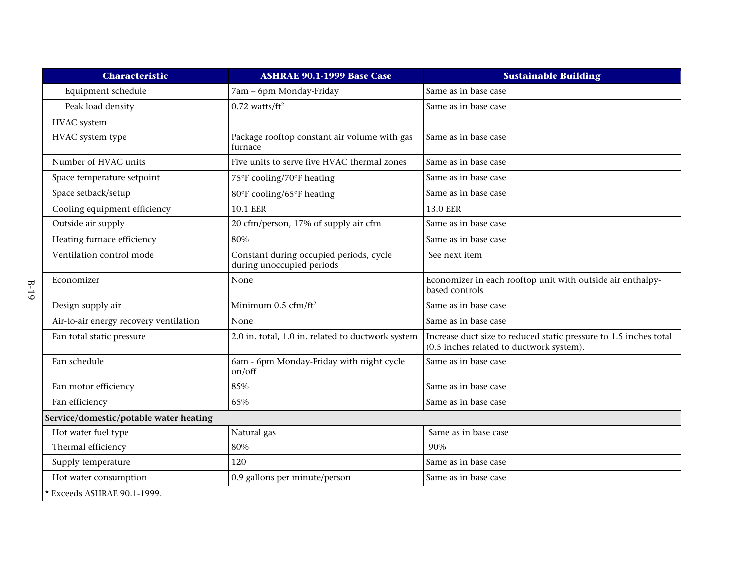| <b>Characteristic</b>                  | <b>ASHRAE 90.1-1999 Base Case</b>                                    | <b>Sustainable Building</b>                                                                                   |  |
|----------------------------------------|----------------------------------------------------------------------|---------------------------------------------------------------------------------------------------------------|--|
| Equipment schedule                     | 7am - 6pm Monday-Friday                                              | Same as in base case                                                                                          |  |
| Peak load density                      | $0.72$ watts/ft <sup>2</sup>                                         | Same as in base case                                                                                          |  |
| HVAC system                            |                                                                      |                                                                                                               |  |
| HVAC system type                       | Package rooftop constant air volume with gas<br>furnace              | Same as in base case                                                                                          |  |
| Number of HVAC units                   | Five units to serve five HVAC thermal zones                          | Same as in base case                                                                                          |  |
| Space temperature setpoint             | 75°F cooling/70°F heating                                            | Same as in base case                                                                                          |  |
| Space setback/setup                    | 80°F cooling/65°F heating                                            | Same as in base case                                                                                          |  |
| Cooling equipment efficiency           | <b>10.1 EER</b>                                                      | <b>13.0 EER</b>                                                                                               |  |
| Outside air supply                     | 20 cfm/person, 17% of supply air cfm                                 | Same as in base case                                                                                          |  |
| Heating furnace efficiency             | 80%                                                                  | Same as in base case                                                                                          |  |
| Ventilation control mode               | Constant during occupied periods, cycle<br>during unoccupied periods | See next item                                                                                                 |  |
| Economizer                             | None                                                                 | Economizer in each rooftop unit with outside air enthalpy-<br>based controls                                  |  |
| Design supply air                      | Minimum $0.5 \text{ cfm/ft}^2$                                       | Same as in base case                                                                                          |  |
| Air-to-air energy recovery ventilation | None                                                                 | Same as in base case                                                                                          |  |
| Fan total static pressure              | 2.0 in. total, 1.0 in. related to ductwork system                    | Increase duct size to reduced static pressure to 1.5 inches total<br>(0.5 inches related to ductwork system). |  |
| Fan schedule                           | 6am - 6pm Monday-Friday with night cycle<br>on/off                   | Same as in base case                                                                                          |  |
| Fan motor efficiency                   | 85%                                                                  | Same as in base case                                                                                          |  |
| Fan efficiency                         | 65%                                                                  | Same as in base case                                                                                          |  |
| Service/domestic/potable water heating |                                                                      |                                                                                                               |  |
| Hot water fuel type                    | Natural gas                                                          | Same as in base case                                                                                          |  |
| Thermal efficiency                     | 80%                                                                  | 90%                                                                                                           |  |
| Supply temperature                     | 120                                                                  | Same as in base case                                                                                          |  |
| Hot water consumption                  | 0.9 gallons per minute/person                                        | Same as in base case                                                                                          |  |
| * Exceeds ASHRAE 90.1-1999.            |                                                                      |                                                                                                               |  |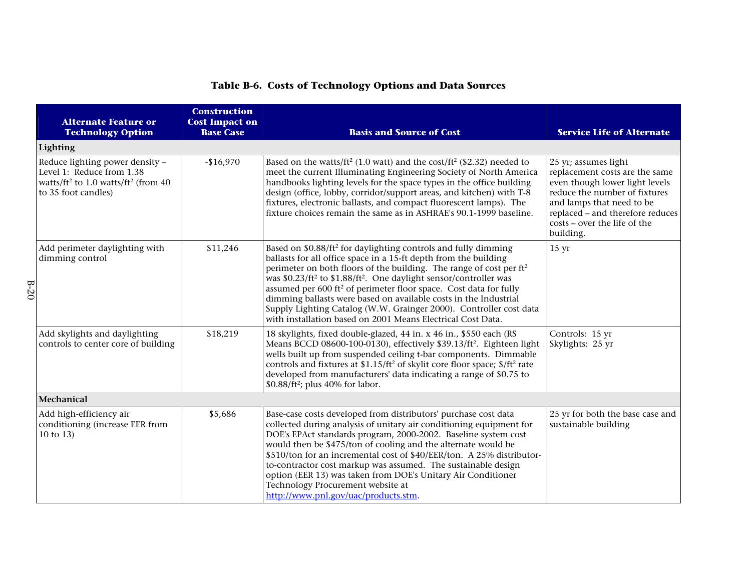| <b>Table B-6. Costs of Technology Options and Data Sources</b> |  |  |
|----------------------------------------------------------------|--|--|

| <b>Alternate Feature or</b><br><b>Technology Option</b>                                                                                                          | <b>Construction</b><br><b>Cost Impact on</b><br><b>Base Case</b>                                                                                                                                                                                                                                                                                                                                                                                                                                                                                                                                                                     | <b>Basis and Source of Cost</b>                                                                                                                                                                                                                                                                                                                                                                                                                                                                                                                                  | <b>Service Life of Alternate</b>                                                                                                                                                                                                        |  |  |  |  |
|------------------------------------------------------------------------------------------------------------------------------------------------------------------|--------------------------------------------------------------------------------------------------------------------------------------------------------------------------------------------------------------------------------------------------------------------------------------------------------------------------------------------------------------------------------------------------------------------------------------------------------------------------------------------------------------------------------------------------------------------------------------------------------------------------------------|------------------------------------------------------------------------------------------------------------------------------------------------------------------------------------------------------------------------------------------------------------------------------------------------------------------------------------------------------------------------------------------------------------------------------------------------------------------------------------------------------------------------------------------------------------------|-----------------------------------------------------------------------------------------------------------------------------------------------------------------------------------------------------------------------------------------|--|--|--|--|
| Lighting                                                                                                                                                         |                                                                                                                                                                                                                                                                                                                                                                                                                                                                                                                                                                                                                                      |                                                                                                                                                                                                                                                                                                                                                                                                                                                                                                                                                                  |                                                                                                                                                                                                                                         |  |  |  |  |
| Reduce lighting power density -<br>$-$16,970$<br>Level 1: Reduce from 1.38<br>watts/ft <sup>2</sup> to 1.0 watts/ft <sup>2</sup> (from 40<br>to 35 foot candles) |                                                                                                                                                                                                                                                                                                                                                                                                                                                                                                                                                                                                                                      | Based on the watts/ft <sup>2</sup> (1.0 watt) and the cost/ft <sup>2</sup> (\$2.32) needed to<br>meet the current Illuminating Engineering Society of North America<br>handbooks lighting levels for the space types in the office building<br>design (office, lobby, corridor/support areas, and kitchen) with T-8<br>fixtures, electronic ballasts, and compact fluorescent lamps). The<br>fixture choices remain the same as in ASHRAE's 90.1-1999 baseline.                                                                                                  | 25 yr; assumes light<br>replacement costs are the same<br>even though lower light levels<br>reduce the number of fixtures<br>and lamps that need to be<br>replaced - and therefore reduces<br>costs - over the life of the<br>building. |  |  |  |  |
| Add perimeter daylighting with<br>dimming control                                                                                                                | \$11,246<br>Based on \$0.88/ft <sup>2</sup> for daylighting controls and fully dimming<br>ballasts for all office space in a 15-ft depth from the building<br>perimeter on both floors of the building. The range of cost per ft <sup>2</sup><br>was \$0.23/ft <sup>2</sup> to \$1.88/ft <sup>2</sup> . One daylight sensor/controller was<br>assumed per 600 ft <sup>2</sup> of perimeter floor space. Cost data for fully<br>dimming ballasts were based on available costs in the Industrial<br>Supply Lighting Catalog (W.W. Grainger 2000). Controller cost data<br>with installation based on 2001 Means Electrical Cost Data. |                                                                                                                                                                                                                                                                                                                                                                                                                                                                                                                                                                  | $15 \text{ yr}$                                                                                                                                                                                                                         |  |  |  |  |
| Add skylights and daylighting<br>\$18,219<br>controls to center core of building<br>$$0.88/\text{ft}^2$$ ; plus 40% for labor.                                   |                                                                                                                                                                                                                                                                                                                                                                                                                                                                                                                                                                                                                                      | 18 skylights, fixed double-glazed, 44 in. x 46 in., \$550 each (RS<br>Means BCCD 08600-100-0130), effectively \$39.13/ft <sup>2</sup> . Eighteen light<br>wells built up from suspended ceiling t-bar components. Dimmable<br>controls and fixtures at \$1.15/ft <sup>2</sup> of skylit core floor space; \$/ft <sup>2</sup> rate<br>developed from manufacturers' data indicating a range of \$0.75 to                                                                                                                                                          | Controls: 15 yr<br>Skylights: 25 yr                                                                                                                                                                                                     |  |  |  |  |
| Mechanical                                                                                                                                                       |                                                                                                                                                                                                                                                                                                                                                                                                                                                                                                                                                                                                                                      |                                                                                                                                                                                                                                                                                                                                                                                                                                                                                                                                                                  |                                                                                                                                                                                                                                         |  |  |  |  |
| \$5,686<br>Add high-efficiency air<br>conditioning (increase EER from<br>10 to 13)                                                                               |                                                                                                                                                                                                                                                                                                                                                                                                                                                                                                                                                                                                                                      | Base-case costs developed from distributors' purchase cost data<br>collected during analysis of unitary air conditioning equipment for<br>DOE's EPAct standards program, 2000-2002. Baseline system cost<br>would then be \$475/ton of cooling and the alternate would be<br>\$510/ton for an incremental cost of \$40/EER/ton. A 25% distributor-<br>to-contractor cost markup was assumed. The sustainable design<br>option (EER 13) was taken from DOE's Unitary Air Conditioner<br>Technology Procurement website at<br>http://www.pnl.gov/uac/products.stm. | 25 yr for both the base case and<br>sustainable building                                                                                                                                                                                |  |  |  |  |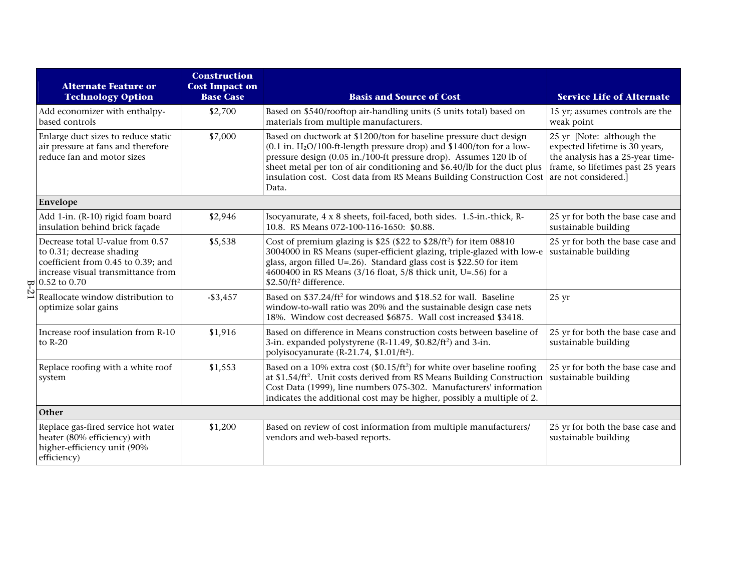|                | <b>Alternate Feature or</b><br><b>Technology Option</b>                                                                                                                 | <b>Construction</b><br><b>Cost Impact on</b><br><b>Base Case</b> | <b>Basis and Source of Cost</b>                                                                                                                                                                                                                                                                                                                                                          | <b>Service Life of Alternate</b>                                                                                                                             |
|----------------|-------------------------------------------------------------------------------------------------------------------------------------------------------------------------|------------------------------------------------------------------|------------------------------------------------------------------------------------------------------------------------------------------------------------------------------------------------------------------------------------------------------------------------------------------------------------------------------------------------------------------------------------------|--------------------------------------------------------------------------------------------------------------------------------------------------------------|
|                | Add economizer with enthalpy-<br>based controls                                                                                                                         | \$2,700                                                          | Based on \$540/rooftop air-handling units (5 units total) based on<br>materials from multiple manufacturers.                                                                                                                                                                                                                                                                             | 15 yr; assumes controls are the<br>weak point                                                                                                                |
|                | Enlarge duct sizes to reduce static<br>air pressure at fans and therefore<br>reduce fan and motor sizes                                                                 | \$7,000                                                          | Based on ductwork at \$1200/ton for baseline pressure duct design<br>$(0.1$ in. H <sub>2</sub> O/100-ft-length pressure drop) and \$1400/ton for a low-<br>pressure design (0.05 in./100-ft pressure drop). Assumes 120 lb of<br>sheet metal per ton of air conditioning and \$6.40/lb for the duct plus<br>insulation cost. Cost data from RS Means Building Construction Cost<br>Data. | 25 yr [Note: although the<br>expected lifetime is 30 years,<br>the analysis has a 25-year time-<br>frame, so lifetimes past 25 years<br>are not considered.] |
|                | Envelope                                                                                                                                                                |                                                                  |                                                                                                                                                                                                                                                                                                                                                                                          |                                                                                                                                                              |
|                | Add 1-in. (R-10) rigid foam board<br>insulation behind brick façade                                                                                                     | \$2,946                                                          | Isocyanurate, 4 x 8 sheets, foil-faced, both sides. 1.5-in.-thick, R-<br>10.8. RS Means 072-100-116-1650: \$0.88.                                                                                                                                                                                                                                                                        | 25 yr for both the base case and<br>sustainable building                                                                                                     |
|                | Decrease total U-value from 0.57<br>to 0.31; decrease shading<br>coefficient from 0.45 to 0.39; and<br>increase visual transmittance from<br>$\frac{1}{2}$ 0.52 to 0.70 | \$5,538                                                          | Cost of premium glazing is \$25 (\$22 to \$28/ft <sup>2</sup> ) for item $08810$<br>3004000 in RS Means (super-efficient glazing, triple-glazed with low-e<br>glass, argon filled U=.26). Standard glass cost is $$22.50$ for item<br>4600400 in RS Means (3/16 float, 5/8 thick unit, U=.56) for a<br>\$2.50/ft <sup>2</sup> difference.                                                | 25 yr for both the base case and<br>sustainable building                                                                                                     |
| $\overline{2}$ | Reallocate window distribution to<br>optimize solar gains                                                                                                               | $-$ \$3,457                                                      | Based on \$37.24/ft <sup>2</sup> for windows and \$18.52 for wall. Baseline<br>window-to-wall ratio was 20% and the sustainable design case nets<br>18%. Window cost decreased \$6875. Wall cost increased \$3418.                                                                                                                                                                       | $25 \text{ yr}$                                                                                                                                              |
|                | Increase roof insulation from R-10<br>to $R-20$                                                                                                                         | \$1,916                                                          | Based on difference in Means construction costs between baseline of<br>3-in. expanded polystyrene (R-11.49, \$0.82/ft <sup>2</sup> ) and 3-in.<br>polyisocyanurate (R-21.74, \$1.01/ft <sup>2</sup> ).                                                                                                                                                                                   | 25 yr for both the base case and<br>sustainable building                                                                                                     |
|                | Replace roofing with a white roof<br>system                                                                                                                             | \$1,553                                                          | Based on a 10% extra cost $(\$0.15/ft^2)$ for white over baseline roofing<br>at \$1.54/ft <sup>2</sup> . Unit costs derived from RS Means Building Construction<br>Cost Data (1999), line numbers 075-302. Manufacturers' information<br>indicates the additional cost may be higher, possibly a multiple of 2.                                                                          | 25 yr for both the base case and<br>sustainable building                                                                                                     |
|                | Other                                                                                                                                                                   |                                                                  |                                                                                                                                                                                                                                                                                                                                                                                          |                                                                                                                                                              |
|                | Replace gas-fired service hot water<br>heater (80% efficiency) with<br>higher-efficiency unit (90%<br>efficiency)                                                       | \$1,200                                                          | Based on review of cost information from multiple manufacturers/<br>vendors and web-based reports.                                                                                                                                                                                                                                                                                       | 25 yr for both the base case and<br>sustainable building                                                                                                     |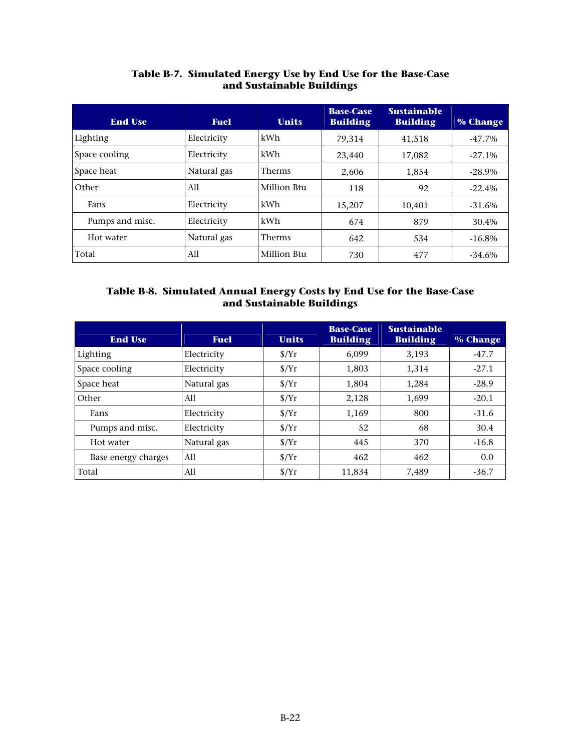| <b>End Use</b>  | <b>Fuel</b> | <b>Units</b>  | <b>Base-Case</b><br><b>Building</b> | <b>Sustainable</b><br><b>Building</b> | % Change  |
|-----------------|-------------|---------------|-------------------------------------|---------------------------------------|-----------|
| Lighting        | Electricity | kWh           | 79,314                              | 41,518                                | $-47.7\%$ |
| Space cooling   | Electricity | kWh           | 23,440                              | 17,082                                | $-27.1\%$ |
| Space heat      | Natural gas | <b>Therms</b> | 2,606                               | 1,854                                 | $-28.9\%$ |
| Other           | A11         | Million Btu   | 118                                 | 92                                    | $-22.4%$  |
| Fans            | Electricity | kWh           | 15,207                              | 10,401                                | $-31.6%$  |
| Pumps and misc. | Electricity | kWh           | 674                                 | 879                                   | 30.4%     |
| Hot water       | Natural gas | <b>Therms</b> | 642                                 | 534                                   | $-16.8\%$ |
| Total           | A11         | Million Btu   | 730                                 | 477                                   | $-34.6%$  |

### **Table B-7. Simulated Energy Use by End Use for the Base-Case and Sustainable Buildings**

### **Table B-8. Simulated Annual Energy Costs by End Use for the Base-Case and Sustainable Buildings**

| <b>End Use</b>      | <b>Fuel</b> | <b>Units</b>            | <b>Base-Case</b><br><b>Building</b> | <b>Sustainable</b><br><b>Building</b> | % Change |
|---------------------|-------------|-------------------------|-------------------------------------|---------------------------------------|----------|
| Lighting            | Electricity | S/Yr                    | 6.099                               | 3,193                                 | $-47.7$  |
| Space cooling       | Electricity | $\frac{\gamma}{\gamma}$ | 1.803                               | 1.314                                 | $-27.1$  |
| Space heat          | Natural gas | $\frac{\gamma}{T}$      | 1,804                               | 1,284                                 | $-28.9$  |
| Other               | All         | $\frac{\gamma}{\gamma}$ | 2,128                               | 1,699                                 | $-20.1$  |
| Fans                | Electricity | $\frac{\gamma}{T}$      | 1,169                               | 800                                   | $-31.6$  |
| Pumps and misc.     | Electricity | S/Yr                    | 52                                  | 68                                    | 30.4     |
| Hot water           | Natural gas | $\frac{\gamma}{\gamma}$ | 445                                 | 370                                   | $-16.8$  |
| Base energy charges | All         | $\frac{\gamma}{\gamma}$ | 462                                 | 462                                   | 0.0      |
| Total               | All         | $\frac{\gamma}{T}$      | 11,834                              | 7,489                                 | $-36.7$  |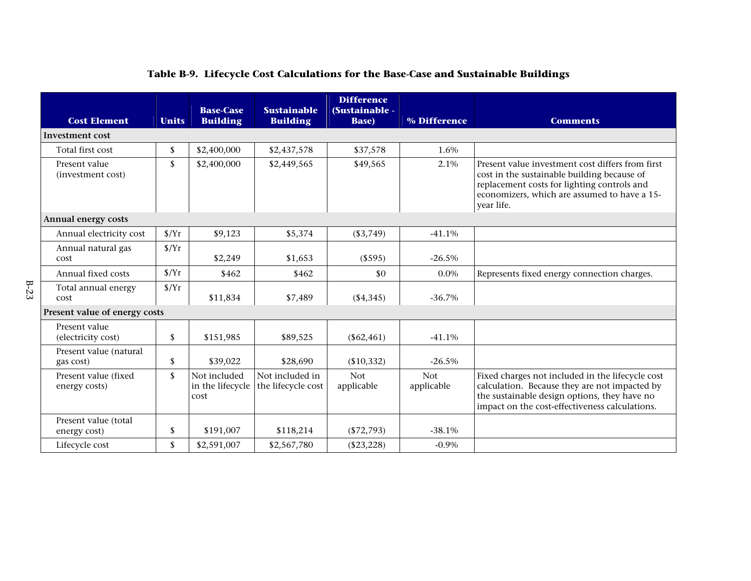| <b>Cost Element</b>                   | <b>Units</b>       | <b>Base-Case</b><br><b>Building</b>      | <b>Sustainable</b><br><b>Building</b> | <b>Difference</b><br>(Sustainable -<br><b>Base</b> ) | % Difference             | <b>Comments</b>                                                                                                                                                                                              |  |
|---------------------------------------|--------------------|------------------------------------------|---------------------------------------|------------------------------------------------------|--------------------------|--------------------------------------------------------------------------------------------------------------------------------------------------------------------------------------------------------------|--|
| Investment cost                       |                    |                                          |                                       |                                                      |                          |                                                                                                                                                                                                              |  |
| Total first cost                      | \$                 | \$2,400,000                              | \$2,437,578                           | \$37,578                                             | 1.6%                     |                                                                                                                                                                                                              |  |
| Present value<br>(investment cost)    | $\mathbb{S}$       | \$2,400,000                              | \$2,449,565                           | \$49,565                                             | 2.1%                     | Present value investment cost differs from first<br>cost in the sustainable building because of<br>replacement costs for lighting controls and<br>economizers, which are assumed to have a 15-<br>year life. |  |
| Annual energy costs                   |                    |                                          |                                       |                                                      |                          |                                                                                                                                                                                                              |  |
| Annual electricity cost               | $\frac{\gamma}{T}$ | \$9,123                                  | \$5,374                               | ( \$3,749)                                           | $-41.1%$                 |                                                                                                                                                                                                              |  |
| Annual natural gas<br>cost            | $\frac{S}{Yr}$     | \$2,249                                  | \$1,653                               | (\$595)                                              | $-26.5%$                 |                                                                                                                                                                                                              |  |
| Annual fixed costs                    | $\frac{\gamma}{T}$ | \$462                                    | \$462                                 | \$0                                                  | $0.0\%$                  | Represents fixed energy connection charges.                                                                                                                                                                  |  |
| Total annual energy<br>cost           | $\frac{\gamma}{T}$ | \$11,834                                 | \$7,489                               | ( \$4,345)                                           | $-36.7%$                 |                                                                                                                                                                                                              |  |
| Present value of energy costs         |                    |                                          |                                       |                                                      |                          |                                                                                                                                                                                                              |  |
| Present value<br>(electricity cost)   | \$                 | \$151,985                                | \$89,525                              | $(\$62,461)$                                         | $-41.1%$                 |                                                                                                                                                                                                              |  |
| Present value (natural<br>gas cost)   | $\mathbf{s}$       | \$39,022                                 | \$28,690                              | (\$10,332)                                           | $-26.5%$                 |                                                                                                                                                                                                              |  |
| Present value (fixed<br>energy costs) | \$                 | Not included<br>in the lifecycle<br>cost | Not included in<br>the lifecycle cost | <b>Not</b><br>applicable                             | <b>Not</b><br>applicable | Fixed charges not included in the lifecycle cost<br>calculation. Because they are not impacted by<br>the sustainable design options, they have no<br>impact on the cost-effectiveness calculations.          |  |
| Present value (total<br>energy cost)  | \$                 | \$191,007                                | \$118,214                             | $(\$72,793)$                                         | $-38.1%$                 |                                                                                                                                                                                                              |  |
| Lifecycle cost                        | \$                 | \$2,591,007                              | \$2,567,780                           | $(\$23,228)$                                         | $-0.9\%$                 |                                                                                                                                                                                                              |  |

# **Table B-9. Lifecycle Cost Calculations for the Base-Case and Sustainable Buildings**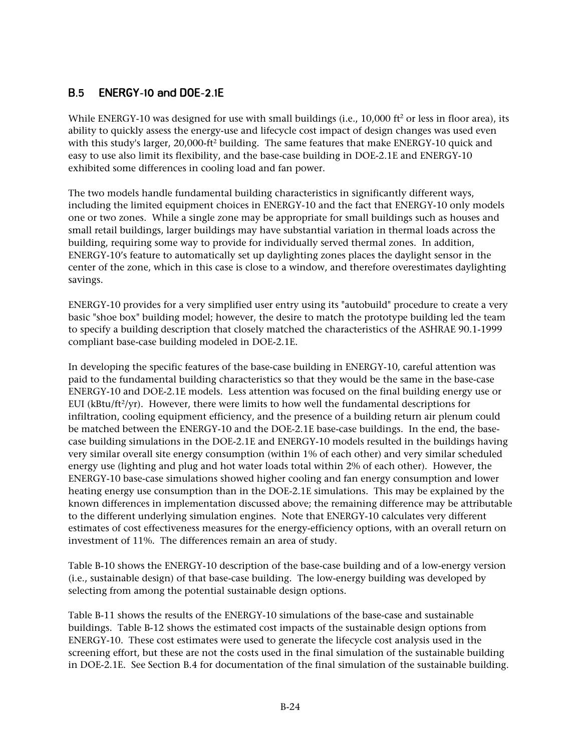### $B.5$ **ENERGY-10 and DOE-2.1E**

While ENERGY-10 was designed for use with small buildings (i.e., 10,000 ft<sup>2</sup> or less in floor area), its ability to quickly assess the energy-use and lifecycle cost impact of design changes was used even with this study's larger, 20,000-ft<sup>2</sup> building. The same features that make ENERGY-10 quick and easy to use also limit its flexibility, and the base-case building in DOE-2.1E and ENERGY-10 exhibited some differences in cooling load and fan power.

The two models handle fundamental building characteristics in significantly different ways, including the limited equipment choices in ENERGY-10 and the fact that ENERGY-10 only models one or two zones. While a single zone may be appropriate for small buildings such as houses and small retail buildings, larger buildings may have substantial variation in thermal loads across the building, requiring some way to provide for individually served thermal zones. In addition, ENERGY-10's feature to automatically set up daylighting zones places the daylight sensor in the center of the zone, which in this case is close to a window, and therefore overestimates daylighting savings.

ENERGY-10 provides for a very simplified user entry using its "autobuild" procedure to create a very basic "shoe box" building model; however, the desire to match the prototype building led the team to specify a building description that closely matched the characteristics of the ASHRAE 90.1-1999 compliant base-case building modeled in DOE-2.1E.

In developing the specific features of the base-case building in ENERGY-10, careful attention was paid to the fundamental building characteristics so that they would be the same in the base-case ENERGY-10 and DOE-2.1E models. Less attention was focused on the final building energy use or EUI ( $k$ Btu/ft<sup>2</sup>/yr). However, there were limits to how well the fundamental descriptions for infiltration, cooling equipment efficiency, and the presence of a building return air plenum could be matched between the ENERGY-10 and the DOE-2.1E base-case buildings. In the end, the basecase building simulations in the DOE-2.1E and ENERGY-10 models resulted in the buildings having very similar overall site energy consumption (within 1% of each other) and very similar scheduled energy use (lighting and plug and hot water loads total within 2% of each other). However, the ENERGY-10 base-case simulations showed higher cooling and fan energy consumption and lower heating energy use consumption than in the DOE-2.1E simulations. This may be explained by the known differences in implementation discussed above; the remaining difference may be attributable to the different underlying simulation engines. Note that ENERGY-10 calculates very different estimates of cost effectiveness measures for the energy-efficiency options, with an overall return on investment of 11%. The differences remain an area of study.

Table B-10 shows the ENERGY-10 description of the base-case building and of a low-energy version (i.e., sustainable design) of that base-case building. The low-energy building was developed by selecting from among the potential sustainable design options.

Table B-11 shows the results of the ENERGY-10 simulations of the base-case and sustainable buildings. Table B-12 shows the estimated cost impacts of the sustainable design options from ENERGY-10. These cost estimates were used to generate the lifecycle cost analysis used in the screening effort, but these are not the costs used in the final simulation of the sustainable building in DOE-2.1E. See Section B.4 for documentation of the final simulation of the sustainable building.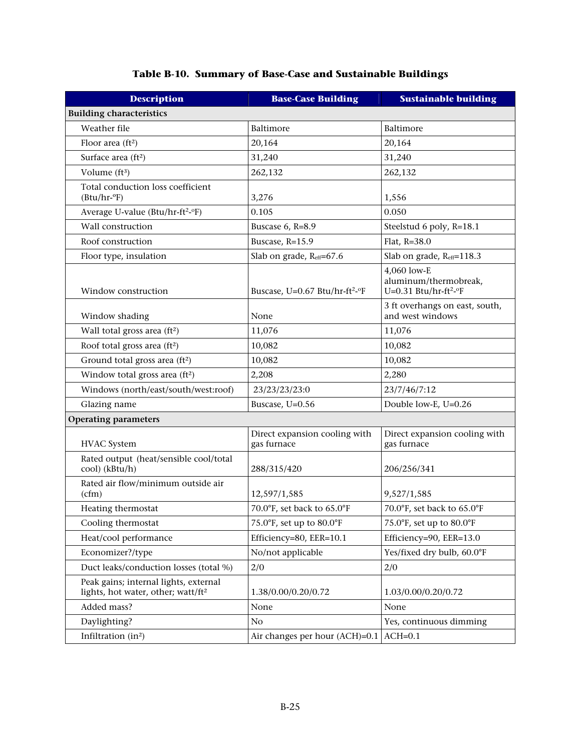| <b>Description</b>                                                                      | <b>Base-Case Building</b>                    | <b>Sustainable building</b>                                               |  |  |  |  |
|-----------------------------------------------------------------------------------------|----------------------------------------------|---------------------------------------------------------------------------|--|--|--|--|
| <b>Building characteristics</b>                                                         |                                              |                                                                           |  |  |  |  |
| Weather file                                                                            | Baltimore                                    | Baltimore                                                                 |  |  |  |  |
| Floor area $(ft2)$                                                                      | 20,164                                       | 20,164                                                                    |  |  |  |  |
| Surface area (ft <sup>2</sup> )                                                         | 31,240                                       | 31,240                                                                    |  |  |  |  |
| Volume (ft3)                                                                            | 262,132                                      | 262,132                                                                   |  |  |  |  |
| Total conduction loss coefficient<br>$(Btu/hr-oF)$                                      | 3,276                                        | 1,556                                                                     |  |  |  |  |
| Average U-value (Btu/hr-ft <sup>2</sup> -°F)                                            | 0.105                                        | 0.050                                                                     |  |  |  |  |
| Wall construction                                                                       | Buscase 6, R=8.9                             | Steelstud 6 poly, R=18.1                                                  |  |  |  |  |
| Roof construction                                                                       | Buscase, R=15.9                              | Flat, R=38.0                                                              |  |  |  |  |
| Floor type, insulation                                                                  | Slab on grade, Reff=67.6                     | Slab on grade, Reff=118.3                                                 |  |  |  |  |
| Window construction                                                                     | Buscase, U=0.67 Btu/hr-ft <sup>2</sup> -°F   | 4,060 low-E<br>aluminum/thermobreak,<br>U=0.31 Btu/hr-ft <sup>2</sup> -°F |  |  |  |  |
| Window shading                                                                          | None                                         | 3 ft overhangs on east, south,<br>and west windows                        |  |  |  |  |
| Wall total gross area (ft <sup>2</sup> )                                                | 11,076                                       | 11,076                                                                    |  |  |  |  |
| Roof total gross area (ft <sup>2</sup> )                                                | 10,082                                       | 10,082                                                                    |  |  |  |  |
| Ground total gross area (ft <sup>2</sup> )                                              | 10,082                                       | 10,082                                                                    |  |  |  |  |
| Window total gross area (ft <sup>2</sup> )                                              | 2,208                                        | 2,280                                                                     |  |  |  |  |
| Windows (north/east/south/west:roof)                                                    | 23/23/23/23:0                                | 23/7/46/7:12                                                              |  |  |  |  |
| Glazing name                                                                            | Buscase, U=0.56                              | Double low-E, U=0.26                                                      |  |  |  |  |
| <b>Operating parameters</b>                                                             |                                              |                                                                           |  |  |  |  |
| <b>HVAC</b> System                                                                      | Direct expansion cooling with<br>gas furnace | Direct expansion cooling with<br>gas furnace                              |  |  |  |  |
| Rated output (heat/sensible cool/total<br>cool) (kBtu/h)                                | 288/315/420                                  | 206/256/341                                                               |  |  |  |  |
| Rated air flow/minimum outside air<br>(cfm)                                             | 12,597/1,585                                 | 9,527/1,585                                                               |  |  |  |  |
| Heating thermostat                                                                      | 70.0°F, set back to 65.0°F                   | 70.0°F, set back to 65.0°F                                                |  |  |  |  |
| Cooling thermostat                                                                      | 75.0°F, set up to 80.0°F                     | 75.0°F, set up to 80.0°F                                                  |  |  |  |  |
| Heat/cool performance                                                                   | Efficiency=80, EER=10.1                      | Efficiency=90, EER=13.0                                                   |  |  |  |  |
| Economizer?/type                                                                        | No/not applicable                            | Yes/fixed dry bulb, 60.0°F                                                |  |  |  |  |
| Duct leaks/conduction losses (total %)                                                  | 2/0                                          | 2/0                                                                       |  |  |  |  |
| Peak gains; internal lights, external<br>lights, hot water, other; watt/ft <sup>2</sup> | 1.38/0.00/0.20/0.72                          | 1.03/0.00/0.20/0.72                                                       |  |  |  |  |
| Added mass?                                                                             | None                                         | None                                                                      |  |  |  |  |
| Daylighting?                                                                            | No                                           | Yes, continuous dimming                                                   |  |  |  |  |
| Infiltration (in <sup>2</sup> )                                                         | Air changes per hour (ACH)=0.1               | $ACH=0.1$                                                                 |  |  |  |  |

### **Table B-10. Summary of Base-Case and Sustainable Buildings**